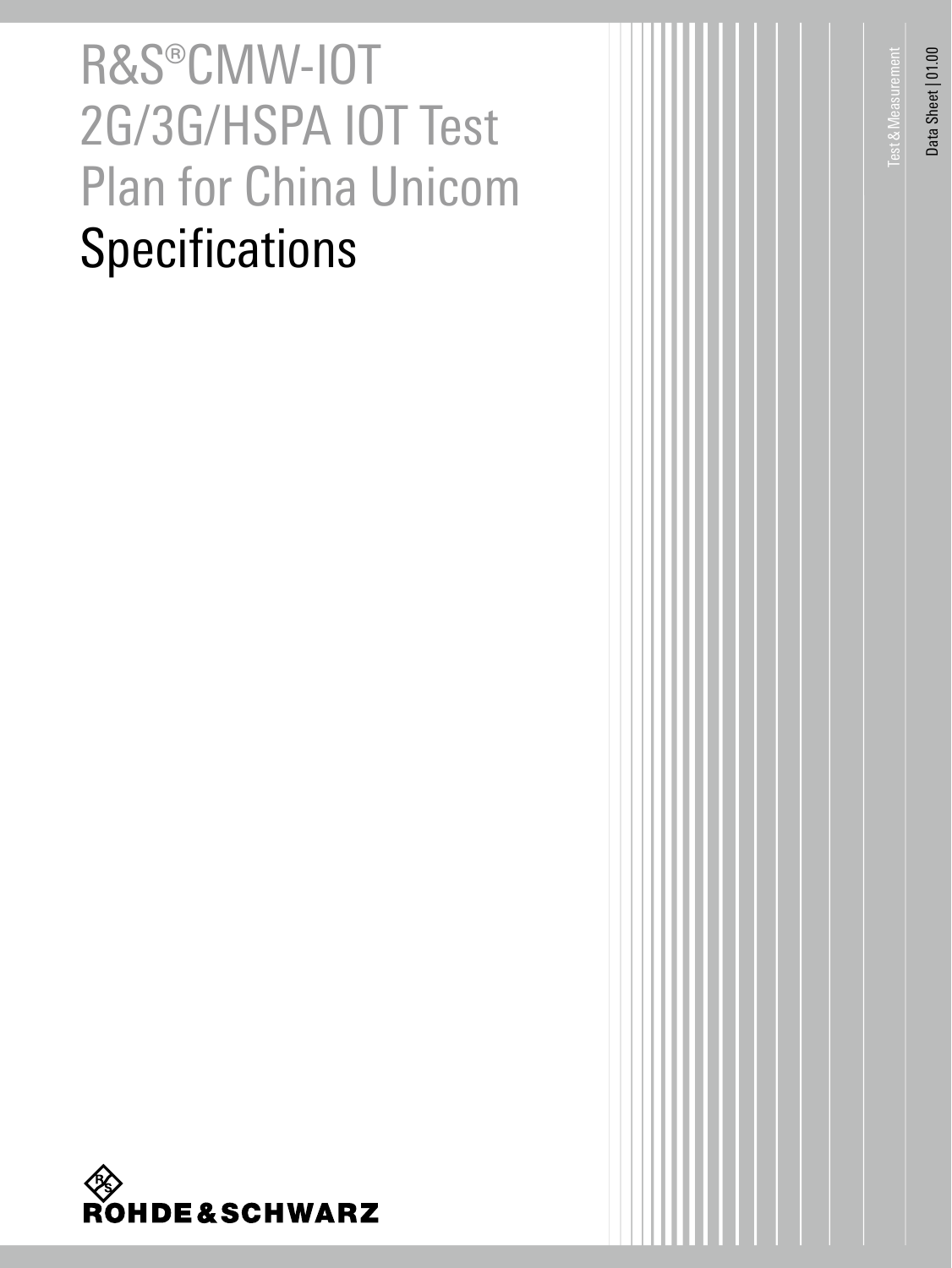# R&S®CMW-IOT 2G/3G/HSPA IOT Test Plan for China Unicom **Specifications**



Test&Measurement

**Test & Measurement** 

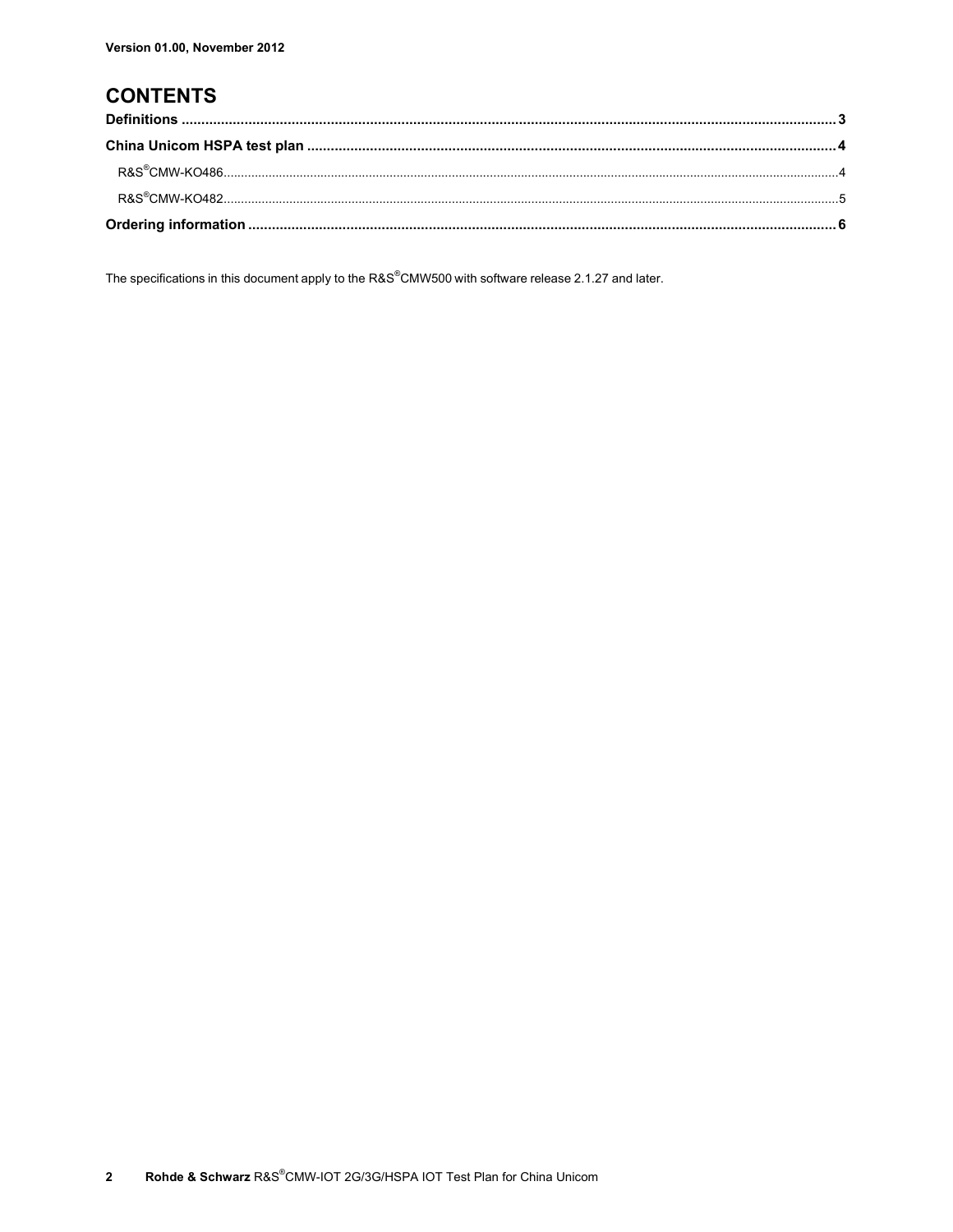### **CONTENTS**

The specifications in this document apply to the R&S®CMW500 with software release 2.1.27 and later.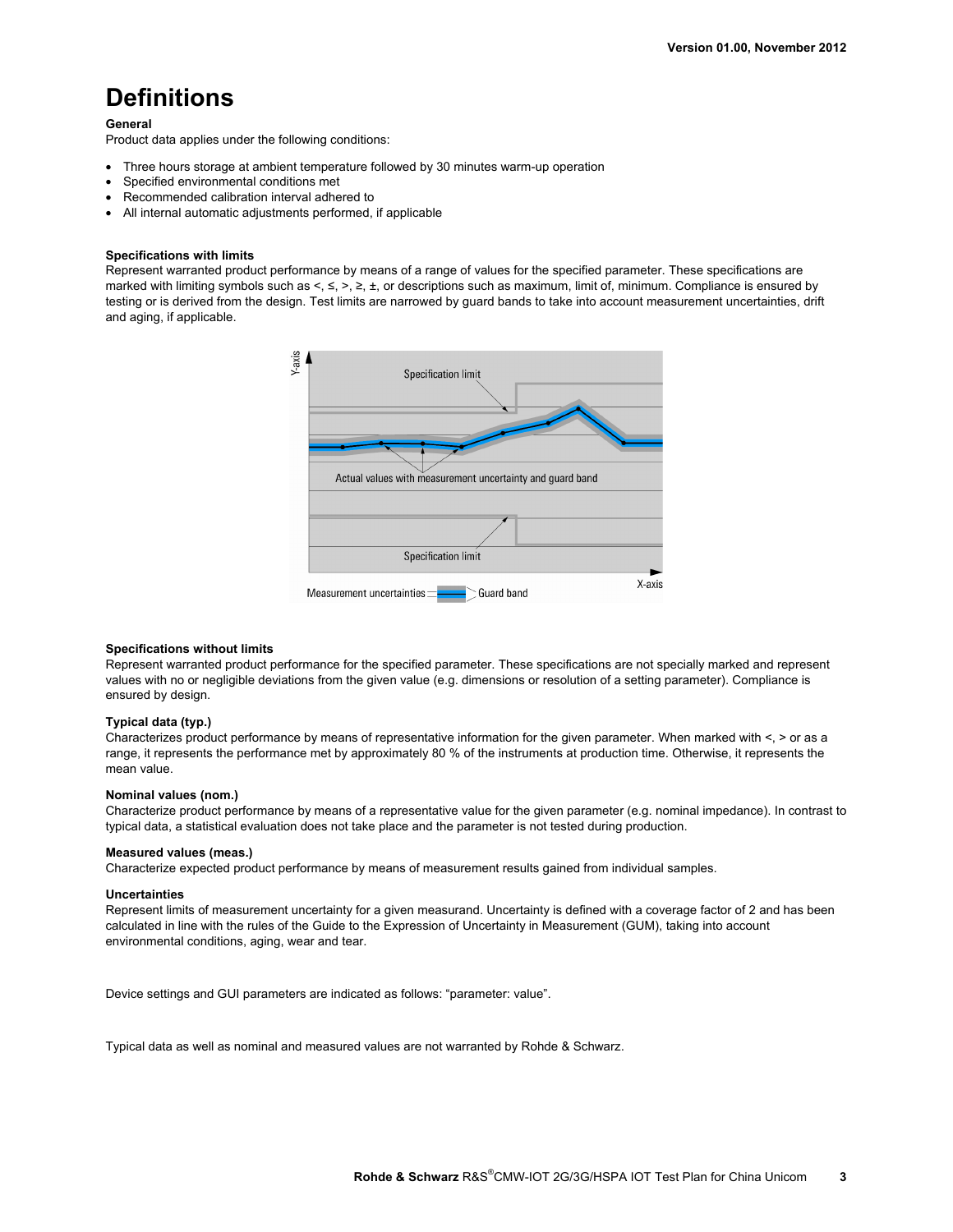### **Definitions**

**General** 

Product data applies under the following conditions:

- Three hours storage at ambient temperature followed by 30 minutes warm-up operation
- Specified environmental conditions met
- Recommended calibration interval adhered to
- All internal automatic adjustments performed, if applicable

### **Specifications with limits**

Represent warranted product performance by means of a range of values for the specified parameter. These specifications are marked with limiting symbols such as  $\leq$ ,  $\leq$ ,  $\geq$ ,  $\pm$ , or descriptions such as maximum, limit of, minimum. Compliance is ensured by testing or is derived from the design. Test limits are narrowed by guard bands to take into account measurement uncertainties, drift and aging, if applicable.



### **Specifications without limits**

Represent warranted product performance for the specified parameter. These specifications are not specially marked and represent values with no or negligible deviations from the given value (e.g. dimensions or resolution of a setting parameter). Compliance is ensured by design.

#### **Typical data (typ.)**

Characterizes product performance by means of representative information for the given parameter. When marked with <, > or as a range, it represents the performance met by approximately 80 % of the instruments at production time. Otherwise, it represents the mean value.

#### **Nominal values (nom.)**

Characterize product performance by means of a representative value for the given parameter (e.g. nominal impedance). In contrast to typical data, a statistical evaluation does not take place and the parameter is not tested during production.

#### **Measured values (meas.)**

Characterize expected product performance by means of measurement results gained from individual samples.

#### **Uncertainties**

Represent limits of measurement uncertainty for a given measurand. Uncertainty is defined with a coverage factor of 2 and has been calculated in line with the rules of the Guide to the Expression of Uncertainty in Measurement (GUM), taking into account environmental conditions, aging, wear and tear.

Device settings and GUI parameters are indicated as follows: "parameter: value".

Typical data as well as nominal and measured values are not warranted by Rohde & Schwarz.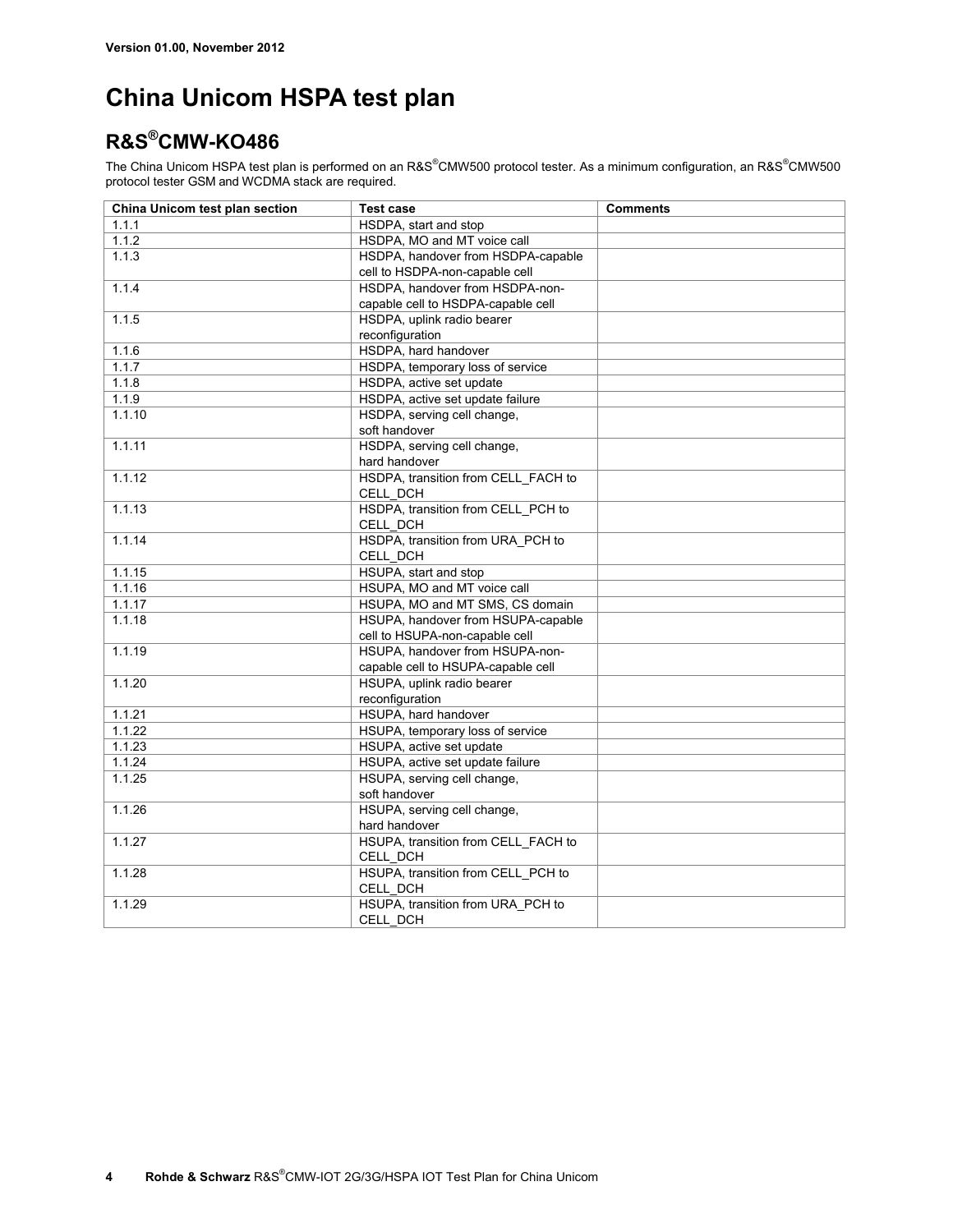### **China Unicom HSPA test plan**

### **R&S®CMW-KO486**

The China Unicom HSPA test plan is performed on an R&S®CMW500 protocol tester. As a minimum configuration, an R&S®CMW500 protocol tester GSM and WCDMA stack are required.

| China Unicom test plan section | <b>Test case</b>                    | <b>Comments</b> |
|--------------------------------|-------------------------------------|-----------------|
| 1.1.1                          | HSDPA, start and stop               |                 |
| 1.1.2                          | HSDPA, MO and MT voice call         |                 |
| 1.1.3                          | HSDPA, handover from HSDPA-capable  |                 |
|                                | cell to HSDPA-non-capable cell      |                 |
| 1.1.4                          | HSDPA, handover from HSDPA-non-     |                 |
|                                | capable cell to HSDPA-capable cell  |                 |
| 1.1.5                          | HSDPA, uplink radio bearer          |                 |
|                                | reconfiguration                     |                 |
| 1.1.6                          | HSDPA, hard handover                |                 |
| 1.1.7                          | HSDPA, temporary loss of service    |                 |
| 1.1.8                          | HSDPA, active set update            |                 |
| 1.1.9                          | HSDPA, active set update failure    |                 |
| 1.1.10                         | HSDPA, serving cell change,         |                 |
|                                | soft handover                       |                 |
| 1.1.11                         | HSDPA, serving cell change,         |                 |
|                                | hard handover                       |                 |
| 1.1.12                         | HSDPA, transition from CELL FACH to |                 |
|                                | CELL DCH                            |                 |
| 1.1.13                         | HSDPA, transition from CELL_PCH to  |                 |
|                                | CELL_DCH                            |                 |
| 1.1.14                         | HSDPA, transition from URA_PCH to   |                 |
|                                | CELL DCH                            |                 |
| 1.1.15                         | HSUPA, start and stop               |                 |
| 1.1.16                         | HSUPA, MO and MT voice call         |                 |
| 1.1.17                         | HSUPA, MO and MT SMS, CS domain     |                 |
| 1.1.18                         | HSUPA, handover from HSUPA-capable  |                 |
|                                | cell to HSUPA-non-capable cell      |                 |
| 1.1.19                         | HSUPA, handover from HSUPA-non-     |                 |
|                                | capable cell to HSUPA-capable cell  |                 |
| 1.1.20                         | HSUPA, uplink radio bearer          |                 |
|                                | reconfiguration                     |                 |
| 1.1.21                         | HSUPA, hard handover                |                 |
| 1.1.22                         | HSUPA, temporary loss of service    |                 |
| 1.1.23                         | HSUPA, active set update            |                 |
| 1.1.24                         | HSUPA, active set update failure    |                 |
| 1.1.25                         | HSUPA, serving cell change,         |                 |
|                                | soft handover                       |                 |
| 1.1.26                         | HSUPA, serving cell change,         |                 |
|                                | hard handover                       |                 |
| 1.1.27                         | HSUPA, transition from CELL_FACH to |                 |
|                                | CELL_DCH                            |                 |
| 1.1.28                         | HSUPA, transition from CELL_PCH to  |                 |
|                                | CELL DCH                            |                 |
| 1.1.29                         | HSUPA, transition from URA PCH to   |                 |
|                                | CELL DCH                            |                 |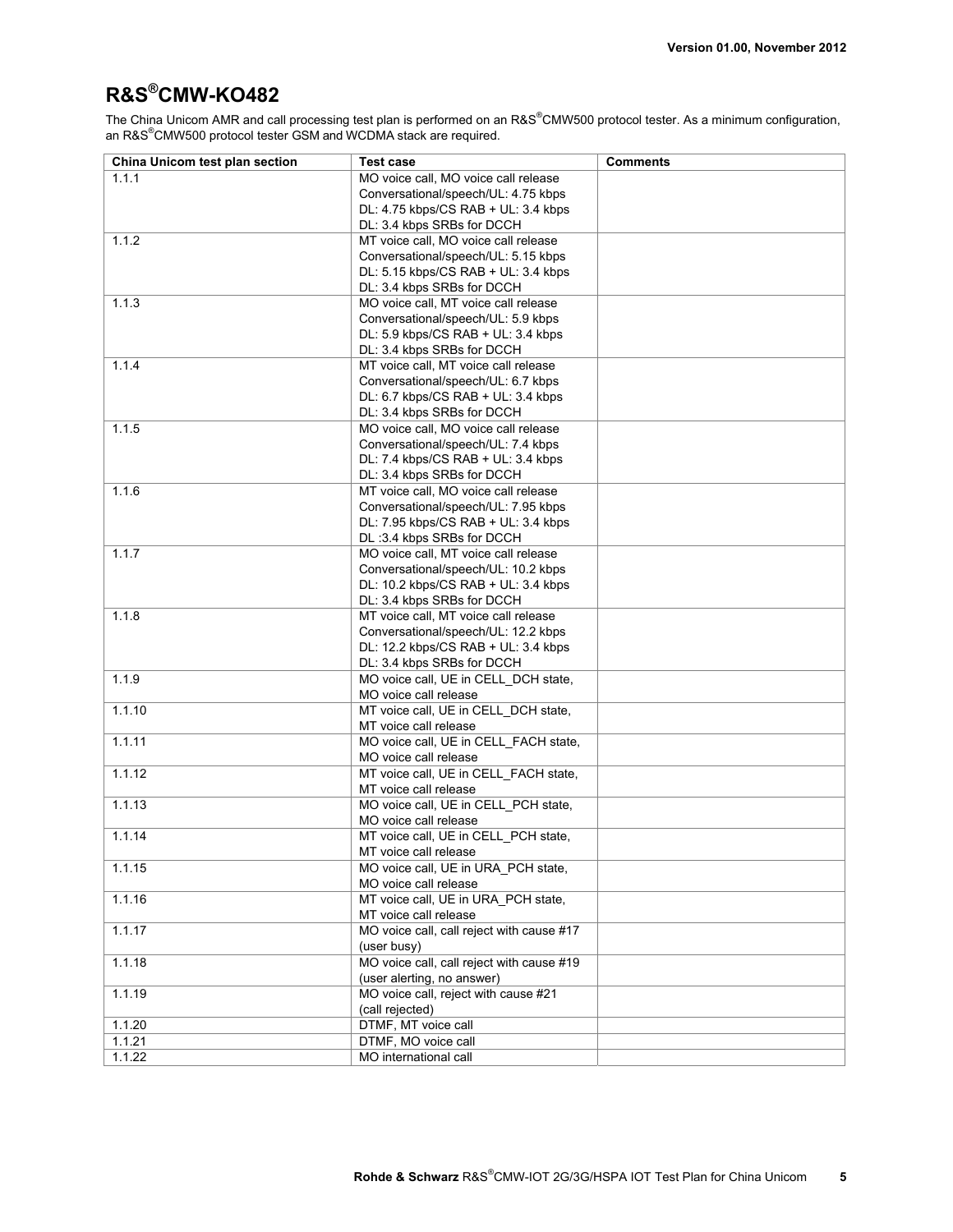### **R&S®CMW-KO482**

The China Unicom AMR and call processing test plan is performed on an R&S®CMW500 protocol tester. As a minimum configuration, an R&S<sup>®</sup>CMW500 protocol tester GSM and WCDMA stack are required.

| China Unicom test plan section | <b>Test case</b>                                               | <b>Comments</b> |
|--------------------------------|----------------------------------------------------------------|-----------------|
| 1.1.1                          | MO voice call. MO voice call release                           |                 |
|                                | Conversational/speech/UL: 4.75 kbps                            |                 |
|                                | DL: 4.75 kbps/CS RAB + UL: 3.4 kbps                            |                 |
|                                | DL: 3.4 kbps SRBs for DCCH                                     |                 |
| 1.1.2                          | MT voice call, MO voice call release                           |                 |
|                                | Conversational/speech/UL: 5.15 kbps                            |                 |
|                                | DL: 5.15 kbps/CS RAB + UL: 3.4 kbps                            |                 |
|                                | DL: 3.4 kbps SRBs for DCCH                                     |                 |
| 1.1.3                          | MO voice call, MT voice call release                           |                 |
|                                | Conversational/speech/UL: 5.9 kbps                             |                 |
|                                | DL: 5.9 kbps/CS RAB + UL: 3.4 kbps                             |                 |
|                                | DL: 3.4 kbps SRBs for DCCH                                     |                 |
| 1.14                           | MT voice call, MT voice call release                           |                 |
|                                | Conversational/speech/UL: 6.7 kbps                             |                 |
|                                | DL: 6.7 kbps/CS RAB + UL: 3.4 kbps                             |                 |
|                                | DL: 3.4 kbps SRBs for DCCH                                     |                 |
| 1.1.5                          | MO voice call, MO voice call release                           |                 |
|                                | Conversational/speech/UL: 7.4 kbps                             |                 |
|                                | DL: 7.4 kbps/CS RAB + UL: 3.4 kbps                             |                 |
|                                | DL: 3.4 kbps SRBs for DCCH                                     |                 |
| 1.1.6                          | MT voice call, MO voice call release                           |                 |
|                                | Conversational/speech/UL: 7.95 kbps                            |                 |
|                                | DL: 7.95 kbps/CS RAB + UL: 3.4 kbps                            |                 |
|                                | DL:3.4 kbps SRBs for DCCH                                      |                 |
| 1.1.7                          | MO voice call, MT voice call release                           |                 |
|                                | Conversational/speech/UL: 10.2 kbps                            |                 |
|                                | DL: 10.2 kbps/CS RAB + UL: 3.4 kbps                            |                 |
|                                | DL: 3.4 kbps SRBs for DCCH                                     |                 |
| 1.1.8                          | MT voice call, MT voice call release                           |                 |
|                                | Conversational/speech/UL: 12.2 kbps                            |                 |
|                                | DL: 12.2 kbps/CS RAB + UL: 3.4 kbps                            |                 |
|                                | DL: 3.4 kbps SRBs for DCCH                                     |                 |
| 1.1.9                          | MO voice call, UE in CELL_DCH state,                           |                 |
|                                | MO voice call release                                          |                 |
| 1.1.10                         | MT voice call, UE in CELL_DCH state,                           |                 |
|                                | MT voice call release                                          |                 |
| 1111                           | MO voice call, UE in CELL_FACH state,                          |                 |
|                                | MO voice call release                                          |                 |
| 1.1.12                         | MT voice call, UE in CELL_FACH state,<br>MT voice call release |                 |
| 1.1.13                         |                                                                |                 |
|                                | MO voice call, UE in CELL_PCH state,<br>MO voice call release  |                 |
| 1.1.14                         | MT voice call, UE in CELL PCH state,                           |                 |
|                                | MT voice call release                                          |                 |
| 1.1.15                         | MO voice call, UE in URA PCH state,                            |                 |
|                                | MO voice call release                                          |                 |
| 1.1.16                         | MT voice call, UE in URA_PCH state,                            |                 |
|                                | MT voice call release                                          |                 |
| 1.1.17                         | MO voice call, call reject with cause #17                      |                 |
|                                | (user busy)                                                    |                 |
| 1.1.18                         | MO voice call, call reject with cause #19                      |                 |
|                                | (user alerting, no answer)                                     |                 |
| 1.1.19                         | MO voice call, reject with cause #21                           |                 |
|                                | (call rejected)                                                |                 |
| 1.1.20                         | DTMF, MT voice call                                            |                 |
| 1.1.21                         | DTMF, MO voice call                                            |                 |
| 1.1.22                         | MO international call                                          |                 |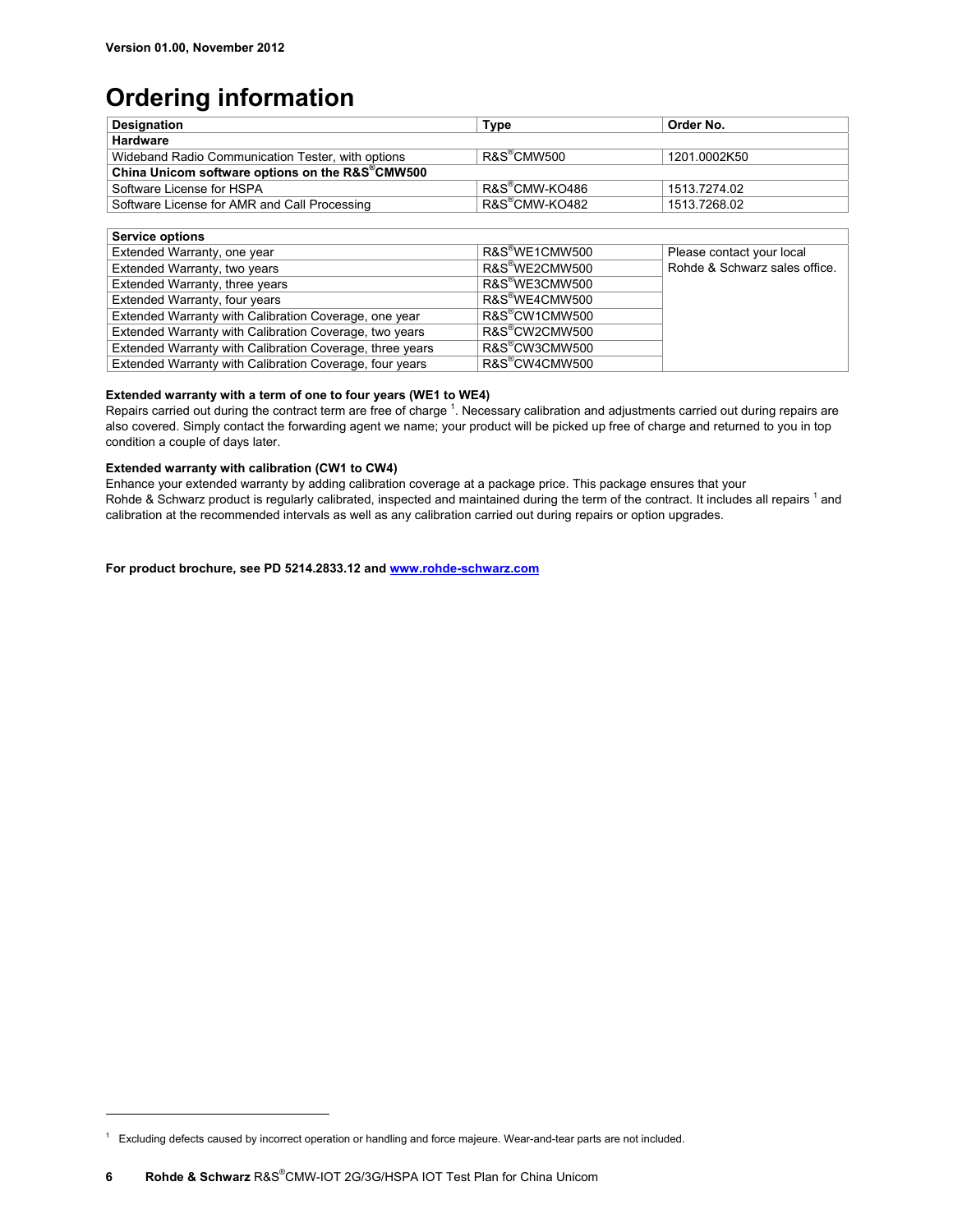## **Ordering information**

| <b>Designation</b>                                           | <b>Type</b>                | Order No.                     |
|--------------------------------------------------------------|----------------------------|-------------------------------|
| <b>Hardware</b>                                              |                            |                               |
| Wideband Radio Communication Tester, with options            | R&S <sup>®</sup> CMW500    | 1201.0002K50                  |
| China Unicom software options on the R&S <sup>®</sup> CMW500 |                            |                               |
| Software License for HSPA                                    | R&S®CMW-KO486              | 1513.7274.02                  |
| Software License for AMR and Call Processing                 | R&S®CMW-KO482              | 1513.7268.02                  |
|                                                              |                            |                               |
| <b>Service options</b>                                       |                            |                               |
| Extended Warranty, one year                                  | R&S <sup>®</sup> WE1CMW500 | Please contact your local     |
| Extended Warranty, two years                                 | R&S <sup>®</sup> WE2CMW500 | Rohde & Schwarz sales office. |
| Extended Warranty, three years                               | R&S <sup>®</sup> WE3CMW500 |                               |
| Extended Warranty, four years                                | R&S <sup>®</sup> WE4CMW500 |                               |
| Extended Warranty with Calibration Coverage, one year        | R&S <sup>®</sup> CW1CMW500 |                               |
| Extended Warranty with Calibration Coverage, two years       | R&S <sup>®</sup> CW2CMW500 |                               |
| Extended Warranty with Calibration Coverage, three years     | R&S <sup>®</sup> CW3CMW500 |                               |
| Extended Warranty with Calibration Coverage, four years      | R&S <sup>®</sup> CW4CMW500 |                               |

### **Extended warranty with a term of one to four years (WE1 to WE4)**

Repairs carried out during the contract term are free of charge  $1$ . Necessary calibration and adjustments carried out during repairs are also covered. Simply contact the forwarding agent we name; your product will be picked up free of charge and returned to you in top condition a couple of days later.

### **Extended warranty with calibration (CW1 to CW4)**

Enhance your extended warranty by adding calibration coverage at a package price. This package ensures that your Rohde & Schwarz product is regularly calibrated, inspected and maintained during the term of the contract. It includes all repairs 1 and calibration at the recommended intervals as well as any calibration carried out during repairs or option upgrades.

**For product brochure, see PD 5214.2833.12 and www.rohde-schwarz.com**

 $\overline{a}$ 

<sup>&</sup>lt;sup>1</sup> Excluding defects caused by incorrect operation or handling and force majeure. Wear-and-tear parts are not included.